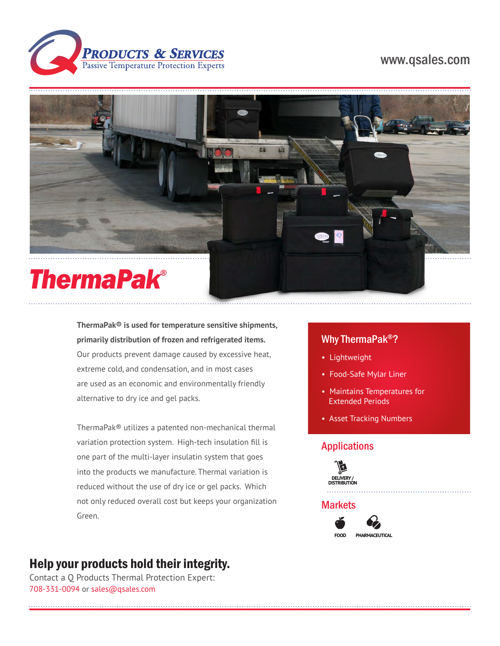

# www.qsales.com



**ThermaPak® is used for temperature sensitive shipments, primarily distribution of frozen and refrigerated items.**  Our products prevent damage caused by excessive heat, extreme cold, and condensation, and in most cases are used as an economic and environmentally friendly alternative to dry ice and gel packs.

ThermaPak® utilizes a patented non-mechanical thermal variation protection system. High-tech insulation fill is one part of the multi-layer insulatin system that goes into the products we manufacture. Thermal variation is reduced without the use of dry ice or gel packs. Which not only reduced overall cost but keeps your organization Green.

# Help your products hold their integrity.

Contact a Q Products Thermal Protection Expert: 708-331-0094 or sales@qsales.com

# Why ThermaPak®?

- Lightweight
- Food-Safe Mylar Liner
- Maintains Temperatures for Extended Periods
- Asset Tracking Numbers

#### Applications



### **Markets**